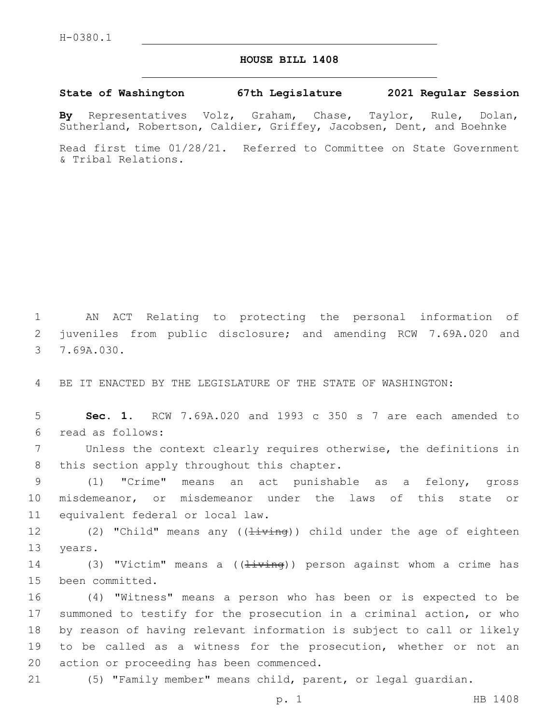## **HOUSE BILL 1408**

**State of Washington 67th Legislature 2021 Regular Session**

**By** Representatives Volz, Graham, Chase, Taylor, Rule, Dolan, Sutherland, Robertson, Caldier, Griffey, Jacobsen, Dent, and Boehnke

Read first time 01/28/21. Referred to Committee on State Government & Tribal Relations.

1 AN ACT Relating to protecting the personal information of 2 juveniles from public disclosure; and amending RCW 7.69A.020 and 3 7.69A.030.

4 BE IT ENACTED BY THE LEGISLATURE OF THE STATE OF WASHINGTON:

5 **Sec. 1.** RCW 7.69A.020 and 1993 c 350 s 7 are each amended to read as follows:6

7 Unless the context clearly requires otherwise, the definitions in 8 this section apply throughout this chapter.

9 (1) "Crime" means an act punishable as a felony, gross 10 misdemeanor, or misdemeanor under the laws of this state or 11 equivalent federal or local law.

12 (2) "Child" means any ((<del>living</del>)) child under the age of eighteen 13 years.

14 (3) "Victim" means a ((<del>living</del>)) person against whom a crime has 15 been committed.

 (4) "Witness" means a person who has been or is expected to be summoned to testify for the prosecution in a criminal action, or who by reason of having relevant information is subject to call or likely to be called as a witness for the prosecution, whether or not an 20 action or proceeding has been commenced.

21 (5) "Family member" means child, parent, or legal guardian.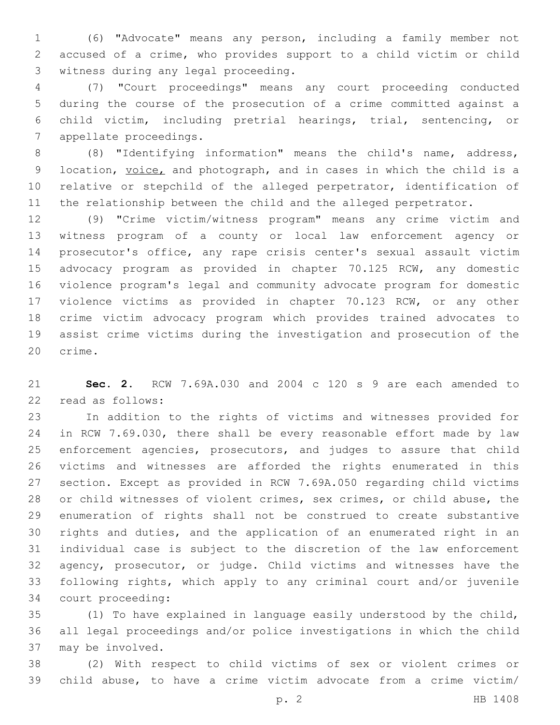(6) "Advocate" means any person, including a family member not accused of a crime, who provides support to a child victim or child 3 witness during any legal proceeding.

 (7) "Court proceedings" means any court proceeding conducted during the course of the prosecution of a crime committed against a child victim, including pretrial hearings, trial, sentencing, or 7 appellate proceedings.

 (8) "Identifying information" means the child's name, address, 9 location, voice, and photograph, and in cases in which the child is a relative or stepchild of the alleged perpetrator, identification of the relationship between the child and the alleged perpetrator.

 (9) "Crime victim/witness program" means any crime victim and witness program of a county or local law enforcement agency or prosecutor's office, any rape crisis center's sexual assault victim advocacy program as provided in chapter 70.125 RCW, any domestic violence program's legal and community advocate program for domestic violence victims as provided in chapter 70.123 RCW, or any other crime victim advocacy program which provides trained advocates to assist crime victims during the investigation and prosecution of the 20 crime.

 **Sec. 2.** RCW 7.69A.030 and 2004 c 120 s 9 are each amended to 22 read as follows:

 In addition to the rights of victims and witnesses provided for in RCW 7.69.030, there shall be every reasonable effort made by law enforcement agencies, prosecutors, and judges to assure that child victims and witnesses are afforded the rights enumerated in this section. Except as provided in RCW 7.69A.050 regarding child victims or child witnesses of violent crimes, sex crimes, or child abuse, the enumeration of rights shall not be construed to create substantive rights and duties, and the application of an enumerated right in an individual case is subject to the discretion of the law enforcement agency, prosecutor, or judge. Child victims and witnesses have the following rights, which apply to any criminal court and/or juvenile 34 court proceeding:

 (1) To have explained in language easily understood by the child, all legal proceedings and/or police investigations in which the child 37 may be involved.

 (2) With respect to child victims of sex or violent crimes or child abuse, to have a crime victim advocate from a crime victim/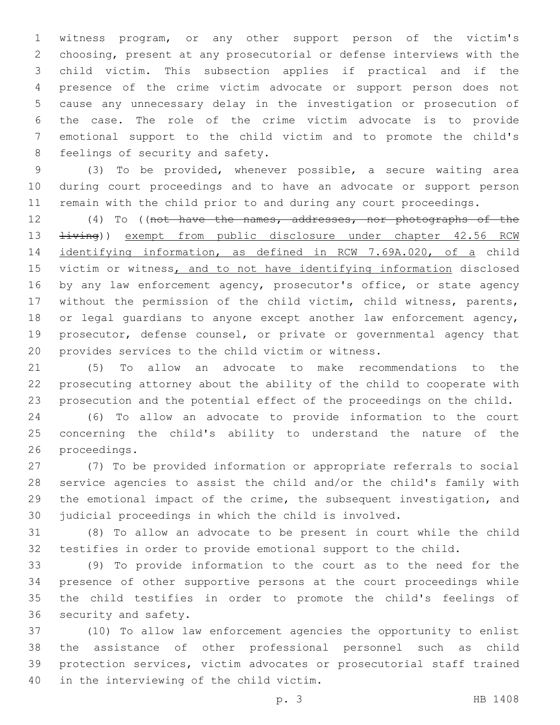witness program, or any other support person of the victim's choosing, present at any prosecutorial or defense interviews with the child victim. This subsection applies if practical and if the presence of the crime victim advocate or support person does not cause any unnecessary delay in the investigation or prosecution of the case. The role of the crime victim advocate is to provide emotional support to the child victim and to promote the child's 8 feelings of security and safety.

 (3) To be provided, whenever possible, a secure waiting area during court proceedings and to have an advocate or support person remain with the child prior to and during any court proceedings.

 (4) To ((not have the names, addresses, nor photographs of the  $\pm i \text{ving}$ ) exempt from public disclosure under chapter 42.56 RCW identifying information, as defined in RCW 7.69A.020, of a child 15 victim or witness, and to not have identifying information disclosed by any law enforcement agency, prosecutor's office, or state agency without the permission of the child victim, child witness, parents, 18 or legal guardians to anyone except another law enforcement agency, prosecutor, defense counsel, or private or governmental agency that 20 provides services to the child victim or witness.

 (5) To allow an advocate to make recommendations to the prosecuting attorney about the ability of the child to cooperate with prosecution and the potential effect of the proceedings on the child.

 (6) To allow an advocate to provide information to the court concerning the child's ability to understand the nature of the 26 proceedings.

 (7) To be provided information or appropriate referrals to social service agencies to assist the child and/or the child's family with the emotional impact of the crime, the subsequent investigation, and judicial proceedings in which the child is involved.

 (8) To allow an advocate to be present in court while the child testifies in order to provide emotional support to the child.

 (9) To provide information to the court as to the need for the presence of other supportive persons at the court proceedings while the child testifies in order to promote the child's feelings of 36 security and safety.

 (10) To allow law enforcement agencies the opportunity to enlist the assistance of other professional personnel such as child protection services, victim advocates or prosecutorial staff trained 40 in the interviewing of the child victim.